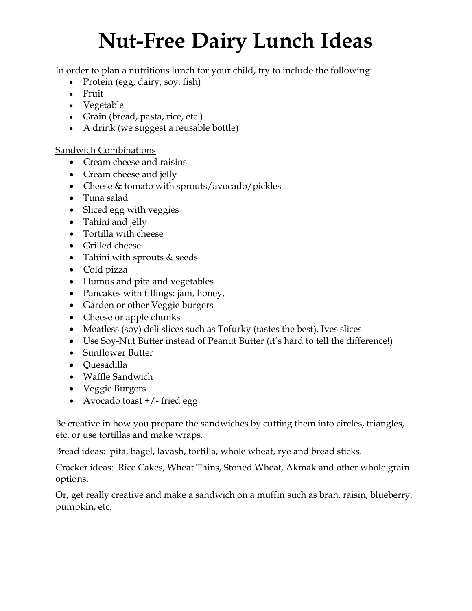## **Nut-Free Dairy Lunch Ideas**

In order to plan a nutritious lunch for your child, try to include the following:

- Protein (egg, dairy, soy, fish)
- Fruit
- Vegetable
- Grain (bread, pasta, rice, etc.)
- A drink (we suggest a reusable bottle)

**Sandwich Combinations** 

- Cream cheese and raisins
- Cream cheese and jelly
- Cheese & tomato with sprouts/avocado/pickles
- Tuna salad
- Sliced egg with veggies
- Tahini and jelly
- Tortilla with cheese
- Grilled cheese
- Tahini with sprouts & seeds
- Cold pizza
- Humus and pita and vegetables
- Pancakes with fillings: jam, honey,
- Garden or other Veggie burgers
- Cheese or apple chunks
- Meatless (soy) deli slices such as Tofurky (tastes the best), Ives slices
- Use Soy-Nut Butter instead of Peanut Butter (it's hard to tell the difference!)
- Sunflower Butter
- Quesadilla
- Waffle Sandwich
- Veggie Burgers
- Avocado toast +/- fried egg

Be creative in how you prepare the sandwiches by cutting them into circles, triangles, etc. or use tortillas and make wraps.

Bread ideas: pita, bagel, lavash, tortilla, whole wheat, rye and bread sticks.

Cracker ideas: Rice Cakes, Wheat Thins, Stoned Wheat, Akmak and other whole grain options.

Or, get really creative and make a sandwich on a muffin such as bran, raisin, blueberry, pumpkin, etc.